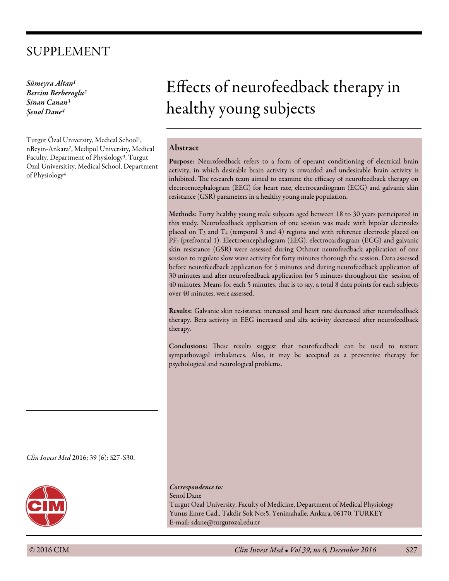# SUPPLEMENT

*Sümeyra Altan1 Bercim Berberoglu2 Sinan Canan3* Ş*enol Dane4*

Turgut Özal University, Medical School1, nBeyin-Ankara2, Medipol University, Medical Faculty, Department of Physiology3, Turgut Özal Universitity, Medical School, Department of Physiology4

# Efects of neurofeedback therapy in healthy young subjects

# Abstract

Purpose: Neurofeedback refers to a form of operant conditioning of electrical brain activity, in which desirable brain activity is rewarded and undesirable brain activity is inhibited. The research team aimed to examine the efficacy of neurofeedback therapy on electroencephalogram (EEG) for heart rate, electrocardiogram (ECG) and galvanic skin resistance (GSR) parameters in a healthy young male population.

Methods: Forty healthy young male subjects aged between 18 to 30 years participated in this study. Neurofeedback application of one session was made with bipolar electrodes placed on  $T_3$  and  $T_4$  (temporal 3 and 4) regions and with reference electrode placed on PF1 (prefrontal 1). Electroencephalogram (EEG), electrocardiogram (ECG) and galvanic skin resistance (GSR) were assessed during Othmer neurofeedback application of one session to regulate slow wave activity for forty minutes thorough the session. Data assessed before neurofeedback application for 5 minutes and during neurofeedback application of 30 minutes and afer neurofeedback application for 5 minutes throughout the session of 40 minutes. Means for each 5 minutes, that is to say, a total 8 data points for each subjects over 40 minutes, were assessed.

Results: Galvanic skin resistance increased and heart rate decreased after neurofeedback therapy. Beta activity in EEG increased and alfa activity decreased afer neurofeedback therapy.

Conclusions: These results suggest that neurofeedback can be used to restore sympathovagal imbalances. Also, it may be accepted as a preventive therapy for psychological and neurological problems.

*Clin In*v*est Med* 2016; 39 (6): S27-S30.



*Correspondence to:* Senol Dane

Turgut Ozal University, Faculty of Medicine, Department of Medical Physiology Yunus Emre Cad., Takdir Sok No:5, Yenimahalle, Ankara, 06170, TURKEY E-mail: sdane@turgutozal.edu.tr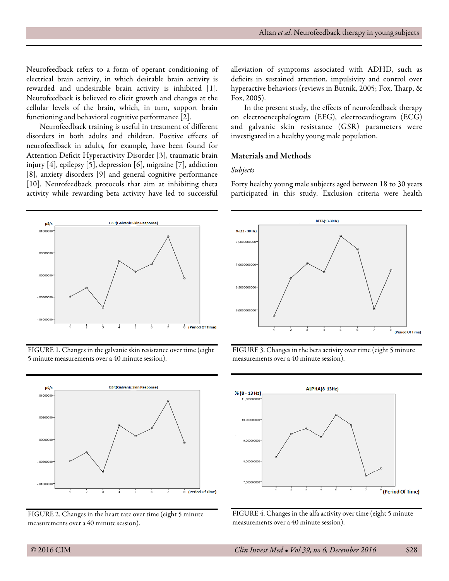Neurofeedback refers to a form of operant conditioning of electrical brain activity, in which desirable brain activity is rewarded and undesirable brain activity is inhibited [1]. Neurofeedback is believed to elicit growth and changes at the cellular levels of the brain, which, in turn, support brain functioning and behavioral cognitive performance [2].

Neurofeedback training is useful in treatment of diferent disorders in both adults and children. Positive efects of neurofeedback in adults, for example, have been found for Attention Deficit Hyperactivity Disorder [3], traumatic brain injury [4], epilepsy [5], depression [6], migraine [7], addiction [8], anxiety disorders [9] and general cognitive performance [10]. Neurofeedback protocols that aim at inhibiting theta activity while rewarding beta activity have led to successful

**GSR(Galvanic Skin Response**  $\mu S/s$ .0100 (Period Of Time)

FIGURE 1. Changes in the galvanic skin resistance over time (eight 5 minute measurements over a 40 minute session).



FIGURE 2. Changes in the heart rate over time (eight 5 minute measurements over a 40 minute session).

alleviation of symptoms associated with ADHD, such as deficits in sustained attention, impulsivity and control over hyperactive behaviors (reviews in Butnik, 2005; Fox, Tharp, & Fox, 2005).

In the present study, the effects of neurofeedback therapy on electroencephalogram (EEG), electrocardiogram (ECG) and galvanic skin resistance (GSR) parameters were investigated in a healthy young male population.

# Materials and Methods

#### *Subjects*

Forty healthy young male subjects aged between 18 to 30 years participated in this study. Exclusion criteria were health







FIGURE 4. Changes in the alfa activity over time (eight 5 minute measurements over a 40 minute session).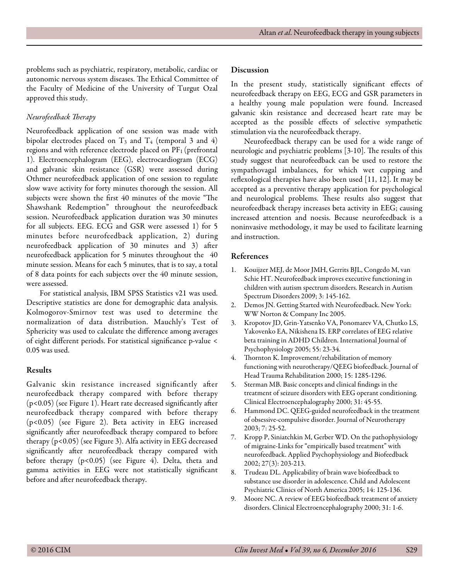problems such as psychiatric, respiratory, metabolic, cardiac or autonomic nervous system diseases. The Ethical Committee of the Faculty of Medicine of the University of Turgut Ozal approved this study.

# *Neurofeedback* T*erapy*

Neurofeedback application of one session was made with bipolar electrodes placed on  $T_3$  and  $T_4$  (temporal 3 and 4) regions and with reference electrode placed on PF<sub>1</sub> (prefrontal 1). Electroencephalogram (EEG), electrocardiogram (ECG) and galvanic skin resistance (GSR) were assessed during Othmer neurofeedback application of one session to regulate slow wave activity for forty minutes thorough the session. All subjects were shown the first 40 minutes of the movie "The Shawshank Redemption" throughout the neurofeedback session. Neurofeedback application duration was 30 minutes for all subjects. EEG. ECG and GSR were assessed 1) for 5 minutes before neurofeedback application, 2) during neurofeedback application of 30 minutes and 3) afer neurofeedback application for 5 minutes throughout the 40 minute session. Means for each 5 minutes, that is to say, a total of 8 data points for each subjects over the 40 minute session, were assessed.

For statistical analysis, IBM SPSS Statistics v21 was used. Descriptive statistics are done for demographic data analysis. Kolmogorov-Smirnov test was used to determine the normalization of data distribution. Mauchly's Test of Sphericity was used to calculate the diference among averages of eight diferent periods. For statistical signifcance p-value < 0.05 was used.

# Results

Galvanic skin resistance increased significantly after neurofeedback therapy compared with before therapy (p<0.05) (see Figure 1). Heart rate decreased signifcantly afer neurofeedback therapy compared with before therapy (p<0.05) (see Figure 2). Beta activity in EEG increased significantly after neurofeedback therapy compared to before therapy (p<0.05) (see Figure 3). Alfa activity in EEG decreased significantly after neurofeedback therapy compared with before therapy (p<0.05) (see Figure 4). Delta, theta and gamma activities in EEG were not statistically signifcant before and after neurofeedback therapy.

#### Discussion

In the present study, statistically significant effects of neurofeedback therapy on EEG, ECG and GSR parameters in a healthy young male population were found. Increased galvanic skin resistance and decreased heart rate may be accepted as the possible efects of selective sympathetic stimulation via the neurofeedback therapy.

Neurofeedback therapy can be used for a wide range of neurologic and psychiatric problems [3-10]. The results of this study suggest that neurofeedback can be used to restore the sympathovagal imbalances, for which wet cupping and refexological therapies have also been used [11, 12]. It may be accepted as a preventive therapy application for psychological and neurological problems. These results also suggest that neurofeedback therapy increases beta activity in EEG; causing increased attention and noesis. Because neurofeedback is a noninvasive methodology, it may be used to facilitate learning and instruction.

# References

- 1. Kouijzer MEJ, de Moor JMH, Gerrits BJL, Congedo M, van Schie HT. Neurofeedback improves executive functioning in children with autism spectrum disorders. Research in Autism Spectrum Disorders 2009; 3: 145-162.
- 2. Demos JN. Getting Started with Neurofeedback. New York: WW Norton & Company Inc 2005.
- 3. Kropotov JD, Grin-Yatsenko VA, Ponomarev VA, Chutko LS, Yakovenko EA, Nikishena IS. ERP correlates of EEG relative beta training in ADHD Children. International Journal of Psychophysiology 2005; 55: 23-34.
- 4. Thornton K. Improvement/rehabilitation of memory functioning with neurotherapy/QEEG biofeedback. Journal of Head Trauma Rehabilitation 2000; 15: 1285-1296.
- 5. Sterman MB. Basic concepts and clinical fndings in the treatment of seizure disorders with EEG operant conditioning. Clinical Electroencephalography 2000; 31: 45-55.
- 6. Hammond DC. QEEG-guided neurofeedback in the treatment of obsessive-compulsive disorder. Journal of Neurotherapy 2003; 7: 25-52.
- 7. Kropp P, Siniatchkin M, Gerber WD. On the pathophysiology of migraine-Links for "empirically based treatment" with neurofeedback. Applied Psychophysiology and Biofeedback 2002; 27(3): 203-213.
- 8. Trudeau DL. Applicability of brain wave biofeedback to substance use disorder in adolescence. Child and Adolescent Psychiatric Clinics of North America 2005; 14: 125-136.
- 9. Moore NC. A review of EEG biofeedback treatment of anxiety disorders. Clinical Electroencephalography 2000; 31: 1-6.